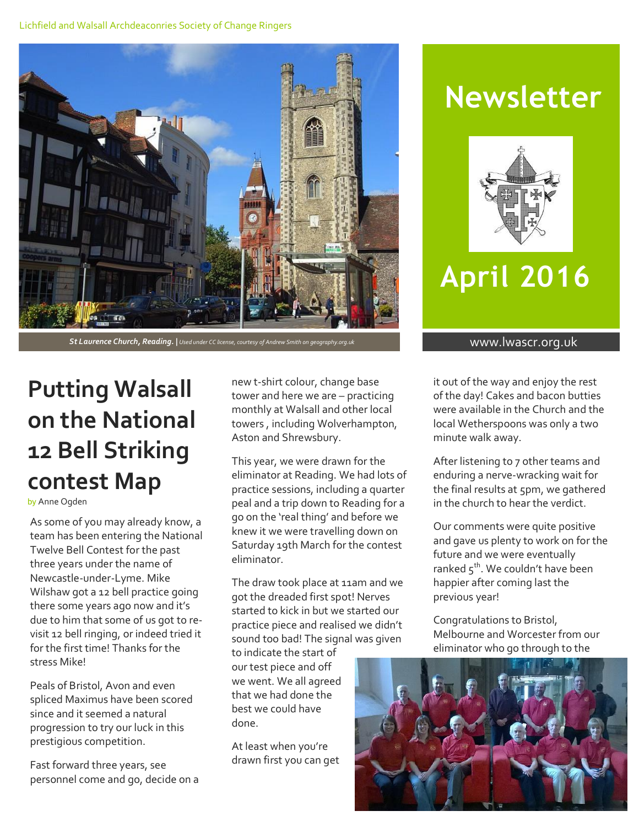#### Lichfield and Walsall Archdeaconries Society of Change Ringers



St Laurence Church, Reading. | Used under CC license, courtesy of Andrew Smith on geography.org.uk **www.lwascr.org.uk** 

## **Putting Walsall on the National 12 Bell Striking contest Map**

by Anne Ogden

As some of you may already know, a team has been entering the National Twelve Bell Contest for the past three years under the name of Newcastle-under-Lyme. Mike Wilshaw got a 12 bell practice going there some years ago now and it's due to him that some of us got to revisit 12 bell ringing, or indeed tried it for the first time! Thanks for the stress Mike!

Peals of Bristol, Avon and even spliced Maximus have been scored since and it seemed a natural progression to try our luck in this prestigious competition.

Fast forward three years, see personnel come and go, decide on a

new t-shirt colour, change base tower and here we are – practicing monthly at Walsall and other local towers , including Wolverhampton, Aston and Shrewsbury.

This year, we were drawn for the eliminator at Reading. We had lots of practice sessions, including a quarter peal and a trip down to Reading for a go on the 'real thing' and before we knew it we were travelling down on Saturday 19th March for the contest eliminator.

The draw took place at 11am and we got the dreaded first spot! Nerves started to kick in but we started our practice piece and realised we didn't sound too bad! The signal was given

to indicate the start of our test piece and off we went. We all agreed that we had done the best we could have done.

At least when you're drawn first you can get

## **Newsletter**



## **April 2016**

it out of the way and enjoy the rest of the day! Cakes and bacon butties were available in the Church and the local Wetherspoons was only a two minute walk away.

After listening to 7 other teams and enduring a nerve-wracking wait for the final results at 5pm, we gathered in the church to hear the verdict.

Our comments were quite positive and gave us plenty to work on for the future and we were eventually ranked 5<sup>th</sup>. We couldn't have been happier after coming last the previous year!

Congratulations to Bristol, Melbourne and Worcester from our eliminator who go through to the

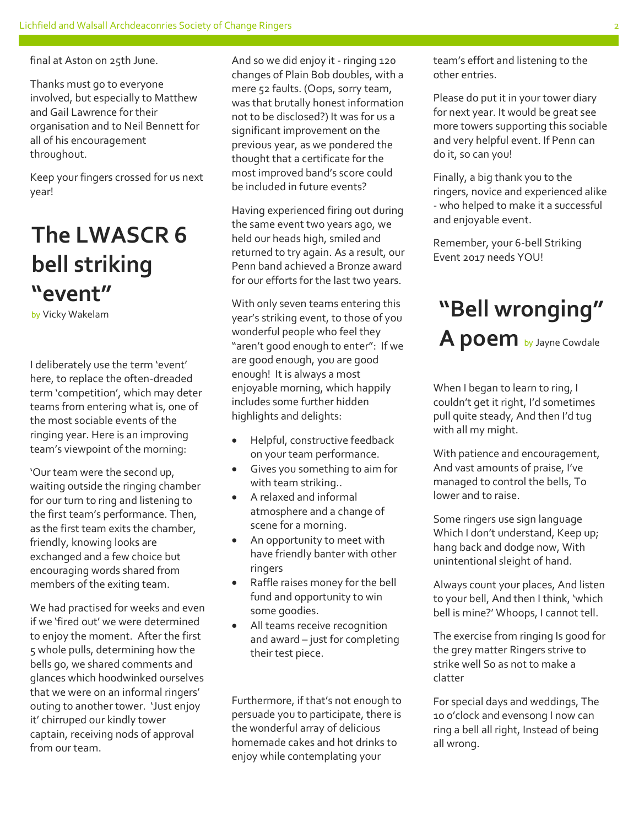final at Aston on 25th June.

Thanks must go to everyone involved, but especially to Matthew and Gail Lawrence for their organisation and to Neil Bennett for all of his encouragement throughout.

Keep your fingers crossed for us next year!

## **The LWASCR 6 bell striking "event"**

I deliberately use the term 'event' here, to replace the often-dreaded term 'competition', which may deter teams from entering what is, one of the most sociable events of the ringing year. Here is an improving team's viewpoint of the morning:

'Our team were the second up, waiting outside the ringing chamber for our turn to ring and listening to the first team's performance. Then, as the first team exits the chamber, friendly, knowing looks are exchanged and a few choice but encouraging words shared from members of the exiting team.

We had practised for weeks and even if we 'fired out' we were determined to enjoy the moment. After the first 5 whole pulls, determining how the bells go, we shared comments and glances which hoodwinked ourselves that we were on an informal ringers' outing to another tower. 'Just enjoy it' chirruped our kindly tower captain, receiving nods of approval from our team.

And so we did enjoy it - ringing 120 changes of Plain Bob doubles, with a mere 52 faults. (Oops, sorry team, was that brutally honest information not to be disclosed?) It was for us a significant improvement on the previous year, as we pondered the thought that a certificate for the most improved band's score could be included in future events?

Having experienced firing out during the same event two years ago, we held our heads high, smiled and returned to try again. As a result, our Penn band achieved a Bronze award for our efforts for the last two years.

**by Vicky Wakelam Example 2011 CITY CITY** With only seven teams entering this **"Bell wronging"** With only seven teams entering this year's striking event, to those of you wonderful people who feel they "aren't good enough to enter": If we are good enough, you are good enough! It is always a most enjoyable morning, which happily includes some further hidden highlights and delights:

- Helpful, constructive feedback on your team performance.
- Gives you something to aim for with team striking..
- A relaxed and informal atmosphere and a change of scene for a morning.
- An opportunity to meet with have friendly banter with other ringers
- Raffle raises money for the bell fund and opportunity to win some goodies.
- All teams receive recognition and award – just for completing their test piece.

Furthermore, if that's not enough to persuade you to participate, there is the wonderful array of delicious homemade cakes and hot drinks to enjoy while contemplating your

team's effort and listening to the other entries.

Please do put it in your tower diary for next year. It would be great see more towers supporting this sociable and very helpful event. If Penn can do it, so can you!

Finally, a big thank you to the ringers, novice and experienced alike - who helped to make it a successful and enjoyable event.

Remember, your 6-bell Striking Event 2017 needs YOU!

# A poem by Jayne Cowdale

When I began to learn to ring, I couldn't get it right, I'd sometimes pull quite steady, And then I'd tug with all my might.

With patience and encouragement, And vast amounts of praise, I've managed to control the bells, To lower and to raise.

Some ringers use sign language Which I don't understand, Keep up; hang back and dodge now, With unintentional sleight of hand.

Always count your places, And listen to your bell, And then I think, 'which bell is mine?' Whoops, I cannot tell.

The exercise from ringing Is good for the grey matter Ringers strive to strike well So as not to make a clatter

For special days and weddings, The 10 o'clock and evensong I now can ring a bell all right, Instead of being all wrong.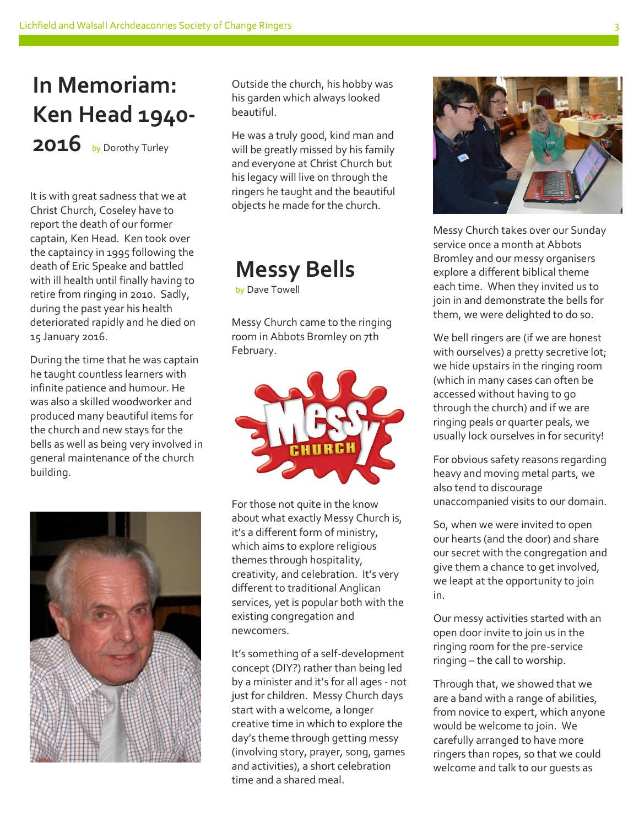### **In Memoriam: Ken Head 1940-** 2016 by Dorothy Turley

It is with great sadness that we at Christ Church, Coseley have to report the death of our former captain, Ken Head. Ken took over the captaincy in 1995 following the death of Eric Speake and battled with ill health until finally having to retire from ringing in 2010. Sadly, during the past year his health deteriorated rapidly and he died on 15 January 2016.

During the time that he was captain he taught countless learners with infinite patience and humour. He was also a skilled woodworker and produced many beautiful items for the church and new stays for the bells as well as being very involved in general maintenance of the church building.



Outside the church, his hobby was his garden which always looked beautiful.

He was a truly good, kind man and will be greatly missed by his family and everyone at Christ Church but his legacy will live on through the ringers he taught and the beautiful objects he made for the church.

### **Messy Bells**

by Dave Towell

Messy Church came to the ringing room in Abbots Bromley on 7th February.



For those not quite in the know about what exactly Messy Church is, it's a different form of ministry, which aims to explore religious themes through hospitality, creativity, and celebration. It's very different to traditional Anglican services, yet is popular both with the existing congregation and newcomers.

It's something of a self-development concept (DIY?) rather than being led by a minister and it's for all ages - not just for children. Messy Church days start with a welcome, a longer creative time in which to explore the day's theme through getting messy (involving story, prayer, song, games and activities), a short celebration time and a shared meal.



Messy Church takes over our Sunday service once a month at Abbots Bromley and our messy organisers explore a different biblical theme each time. When they invited us to join in and demonstrate the bells for them, we were delighted to do so.

We bell ringers are (if we are honest with ourselves) a pretty secretive lot; we hide upstairs in the ringing room (which in many cases can often be accessed without having to go through the church) and if we are ringing peals or quarter peals, we usually lock ourselves in for security!

For obvious safety reasons regarding heavy and moving metal parts, we also tend to discourage unaccompanied visits to our domain.

So, when we were invited to open our hearts (and the door) and share our secret with the congregation and give them a chance to get involved, we leapt at the opportunity to join in.

Our messy activities started with an open door invite to join us in the ringing room for the pre-service ringing – the call to worship.

Through that, we showed that we are a band with a range of abilities, from novice to expert, which anyone would be welcome to join. We carefully arranged to have more ringers than ropes, so that we could welcome and talk to our guests as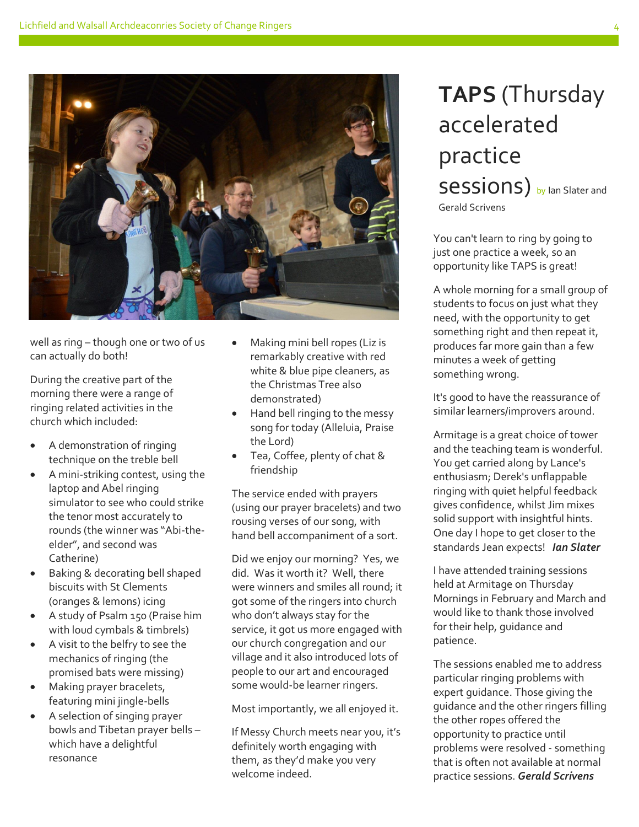

well as ring – though one or two of us can actually do both!

During the creative part of the morning there were a range of ringing related activities in the church which included:

- A demonstration of ringing technique on the treble bell
- A mini-striking contest, using the laptop and Abel ringing simulator to see who could strike the tenor most accurately to rounds (the winner was "Abi-theelder", and second was Catherine)
- Baking & decorating bell shaped biscuits with St Clements (oranges & lemons) icing
- A study of Psalm 150 (Praise him with loud cymbals & timbrels)
- A visit to the belfry to see the mechanics of ringing (the promised bats were missing)
- Making prayer bracelets, featuring mini jingle-bells
- A selection of singing prayer bowls and Tibetan prayer bells – which have a delightful resonance
- Making mini bell ropes (Liz is remarkably creative with red white & blue pipe cleaners, as the Christmas Tree also demonstrated)
- Hand bell ringing to the messy song for today (Alleluia, Praise the Lord)
- Tea, Coffee, plenty of chat & friendship

The service ended with prayers (using our prayer bracelets) and two rousing verses of our song, with hand bell accompaniment of a sort.

Did we enjoy our morning? Yes, we did. Was it worth it? Well, there were winners and smiles all round; it got some of the ringers into church who don't always stay for the service, it got us more engaged with our church congregation and our village and it also introduced lots of people to our art and encouraged some would-be learner ringers.

Most importantly, we all enjoyed it.

If Messy Church meets near you, it's definitely worth engaging with them, as they'd make you very welcome indeed.

#### **TAPS** (Thursday accelerated practice Sessions) by lan Slater and Gerald Scrivens

You can't learn to ring by going to just one practice a week, so an opportunity like TAPS is great!

A whole morning for a small group of students to focus on just what they need, with the opportunity to get something right and then repeat it, produces far more gain than a few minutes a week of getting something wrong.

It's good to have the reassurance of similar learners/improvers around.

Armitage is a great choice of tower and the teaching team is wonderful. You get carried along by Lance's enthusiasm; Derek's unflappable ringing with quiet helpful feedback gives confidence, whilst Jim mixes solid support with insightful hints. One day I hope to get closer to the standards Jean expects! *Ian Slater*

I have attended training sessions held at Armitage on Thursday Mornings in February and March and would like to thank those involved for their help, guidance and patience.

The sessions enabled me to address particular ringing problems with expert guidance. Those giving the guidance and the other ringers filling the other ropes offered the opportunity to practice until problems were resolved - something that is often not available at normal practice sessions. *Gerald Scrivens*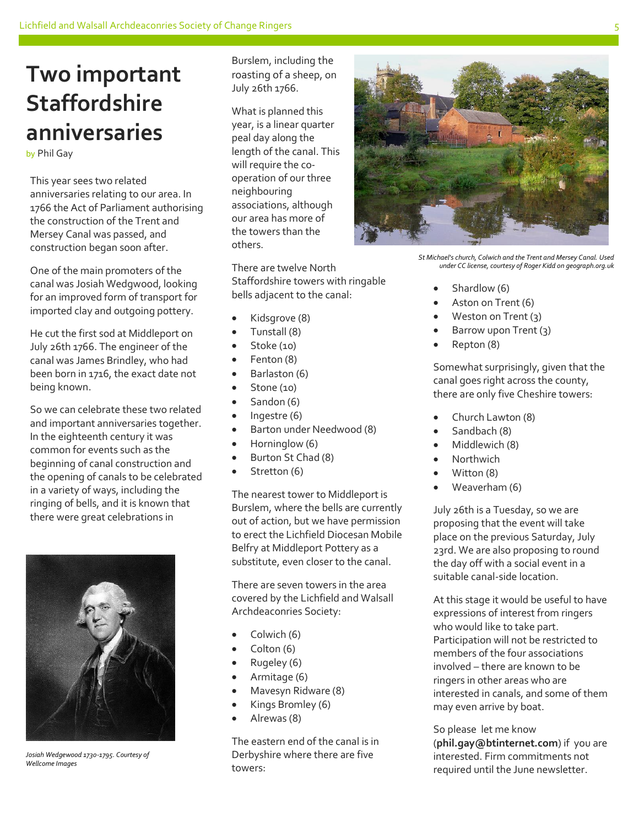#### **Two important Staffordshire anniversaries**

#### by Phil Gay

This year sees two related anniversaries relating to our area. In 1766 the Act of Parliament authorising the construction of the Trent and Mersey Canal was passed, and construction began soon after.

One of the main promoters of the canal was Josiah Wedgwood, looking for an improved form of transport for imported clay and outgoing pottery.

He cut the first sod at Middleport on July 26th 1766. The engineer of the canal was James Brindley, who had been born in 1716, the exact date not being known.

So we can celebrate these two related and important anniversaries together. In the eighteenth century it was common for events such as the beginning of canal construction and the opening of canals to be celebrated in a variety of ways, including the ringing of bells, and it is known that there were great celebrations in



*Josiah Wedgewood 1730-1795. Courtesy of Wellcome Images*

Burslem, including the roasting of a sheep, on July 26th 1766.

What is planned this year, is a linear quarter peal day along the length of the canal. This will require the cooperation of our three neighbouring associations, although our area has more of the towers than the others.

There are twelve North Staffordshire towers with ringable bells adjacent to the canal:

- Kidsgrove (8)
- Tunstall (8)
- Stoke (10)
- Fenton (8)
- Barlaston (6)
- Stone (10)
- Sandon (6)
- $\bullet$  Ingestre (6)
- Barton under Needwood (8)
- Horninglow (6)
- Burton St Chad (8)
- Stretton (6)

The nearest tower to Middleport is Burslem, where the bells are currently out of action, but we have permission to erect the Lichfield Diocesan Mobile Belfry at Middleport Pottery as a substitute, even closer to the canal.

There are seven towers in the area covered by the Lichfield and Walsall Archdeaconries Society:

- Colwich (6)
- Colton (6)
- Rugeley (6)
- Armitage (6)
- Mavesyn Ridware (8)
- Kings Bromley (6)
- Alrewas (8)

The eastern end of the canal is in Derbyshire where there are five towers:

*St Michael's church, Colwich and the Trent and Mersey Canal. Used under CC license, courtesy of Roger Kidd on geograph.org.uk*

- Shardlow (6)
- Aston on Trent (6)
- Weston on Trent (3)
- Barrow upon Trent (3)
- Repton (8)

Somewhat surprisingly, given that the canal goes right across the county, there are only five Cheshire towers:

- Church Lawton (8)
- Sandbach (8)
- Middlewich (8)
- Northwich
- Witton (8)
- Weaverham (6)

July 26th is a Tuesday, so we are proposing that the event will take place on the previous Saturday, July 23rd. We are also proposing to round the day off with a social event in a suitable canal-side location.

At this stage it would be useful to have expressions of interest from ringers who would like to take part. Participation will not be restricted to members of the four associations involved – there are known to be ringers in other areas who are interested in canals, and some of them may even arrive by boat.

So please let me know (**phil.gay@btinternet.com**) if you are interested. Firm commitments not required until the June newsletter.